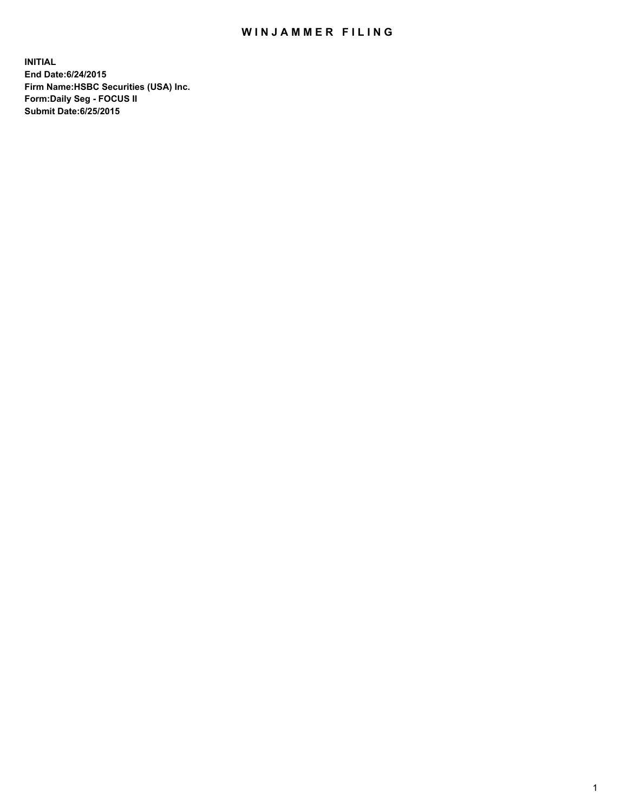## WIN JAMMER FILING

**INITIAL End Date:6/24/2015 Firm Name:HSBC Securities (USA) Inc. Form:Daily Seg - FOCUS II Submit Date:6/25/2015**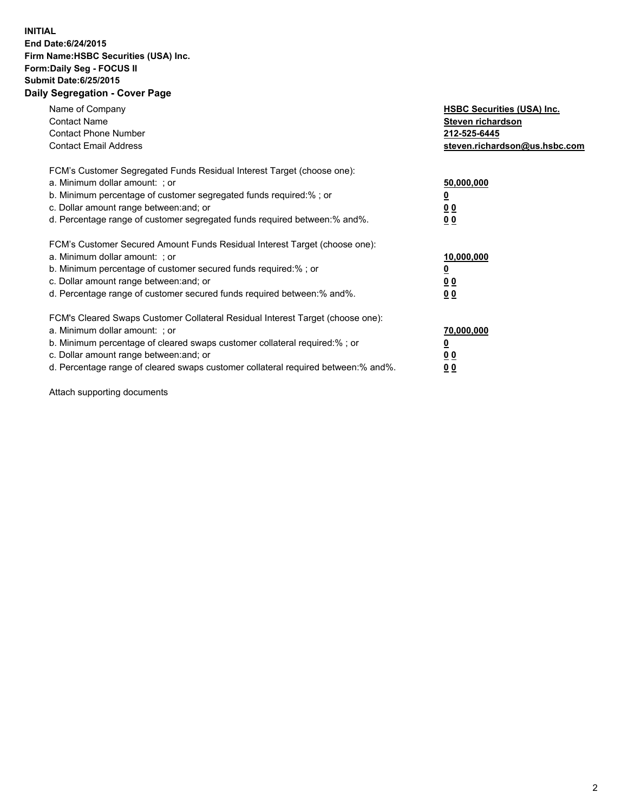## **INITIAL End Date:6/24/2015 Firm Name:HSBC Securities (USA) Inc. Form:Daily Seg - FOCUS II Submit Date:6/25/2015 Daily Segregation - Cover Page**

| Name of Company<br><b>Contact Name</b><br><b>Contact Phone Number</b><br><b>Contact Email Address</b>                                                                                                                                                                                                                          | <b>HSBC Securities (USA) Inc.</b><br>Steven richardson<br>212-525-6445<br>steven.richardson@us.hsbc.com |
|--------------------------------------------------------------------------------------------------------------------------------------------------------------------------------------------------------------------------------------------------------------------------------------------------------------------------------|---------------------------------------------------------------------------------------------------------|
| FCM's Customer Segregated Funds Residual Interest Target (choose one):<br>a. Minimum dollar amount: ; or<br>b. Minimum percentage of customer segregated funds required:%; or<br>c. Dollar amount range between: and; or<br>d. Percentage range of customer segregated funds required between: % and %.                        | 50,000,000<br>0 <sub>0</sub><br>0 <sub>0</sub>                                                          |
| FCM's Customer Secured Amount Funds Residual Interest Target (choose one):<br>a. Minimum dollar amount: ; or<br>b. Minimum percentage of customer secured funds required:%; or<br>c. Dollar amount range between: and; or<br>d. Percentage range of customer secured funds required between:% and%.                            | 10,000,000<br><u>0</u><br>0 <sub>0</sub><br>0 <sub>0</sub>                                              |
| FCM's Cleared Swaps Customer Collateral Residual Interest Target (choose one):<br>a. Minimum dollar amount: ; or<br>b. Minimum percentage of cleared swaps customer collateral required:% ; or<br>c. Dollar amount range between: and; or<br>d. Percentage range of cleared swaps customer collateral required between:% and%. | 70,000,000<br>00<br><u>00</u>                                                                           |

Attach supporting documents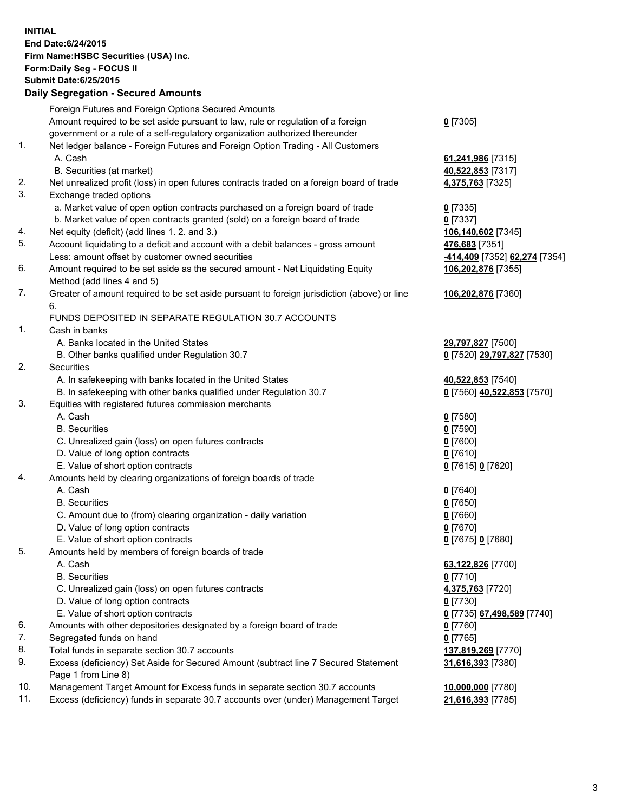**INITIAL End Date:6/24/2015 Firm Name:HSBC Securities (USA) Inc. Form:Daily Seg - FOCUS II Submit Date:6/25/2015 Daily Segregation - Secured Amounts**

Foreign Futures and Foreign Options Secured Amounts Amount required to be set aside pursuant to law, rule or regulation of a foreign government or a rule of a self-regulatory organization authorized thereunder **0** [7305] 1. Net ledger balance - Foreign Futures and Foreign Option Trading - All Customers A. Cash **61,241,986** [7315] B. Securities (at market) **40,522,853** [7317] 2. Net unrealized profit (loss) in open futures contracts traded on a foreign board of trade **4,375,763** [7325] 3. Exchange traded options a. Market value of open option contracts purchased on a foreign board of trade **0** [7335] b. Market value of open contracts granted (sold) on a foreign board of trade **0** [7337] 4. Net equity (deficit) (add lines 1. 2. and 3.) **106,140,602** [7345] 5. Account liquidating to a deficit and account with a debit balances - gross amount **476,683** [7351] Less: amount offset by customer owned securities **-414,409** [7352] **62,274** [7354] 6. Amount required to be set aside as the secured amount - Net Liquidating Equity Method (add lines 4 and 5) **106,202,876** [7355] 7. Greater of amount required to be set aside pursuant to foreign jurisdiction (above) or line 6. **106,202,876** [7360] FUNDS DEPOSITED IN SEPARATE REGULATION 30.7 ACCOUNTS 1. Cash in banks A. Banks located in the United States **29,797,827** [7500] B. Other banks qualified under Regulation 30.7 **0** [7520] **29,797,827** [7530] 2. Securities A. In safekeeping with banks located in the United States **40,522,853** [7540] B. In safekeeping with other banks qualified under Regulation 30.7 **0** [7560] **40,522,853** [7570] 3. Equities with registered futures commission merchants A. Cash **0** [7580] B. Securities **0** [7590] C. Unrealized gain (loss) on open futures contracts **0** [7600] D. Value of long option contracts **0** [7610] E. Value of short option contracts **0** [7615] **0** [7620] 4. Amounts held by clearing organizations of foreign boards of trade A. Cash **0** [7640] B. Securities **0** [7650] C. Amount due to (from) clearing organization - daily variation **0** [7660] D. Value of long option contracts **0** [7670] E. Value of short option contracts **0** [7675] **0** [7680] 5. Amounts held by members of foreign boards of trade A. Cash **63,122,826** [7700] B. Securities **0** [7710] C. Unrealized gain (loss) on open futures contracts **4,375,763** [7720] D. Value of long option contracts **0** [7730] E. Value of short option contracts **0** [7735] **67,498,589** [7740] 6. Amounts with other depositories designated by a foreign board of trade **0** [7760] 7. Segregated funds on hand **0** [7765] 8. Total funds in separate section 30.7 accounts **137,819,269** [7770] 9. Excess (deficiency) Set Aside for Secured Amount (subtract line 7 Secured Statement Page 1 from Line 8) **31,616,393** [7380] 10. Management Target Amount for Excess funds in separate section 30.7 accounts **10,000,000** [7780] 11. Excess (deficiency) funds in separate 30.7 accounts over (under) Management Target **21,616,393** [7785]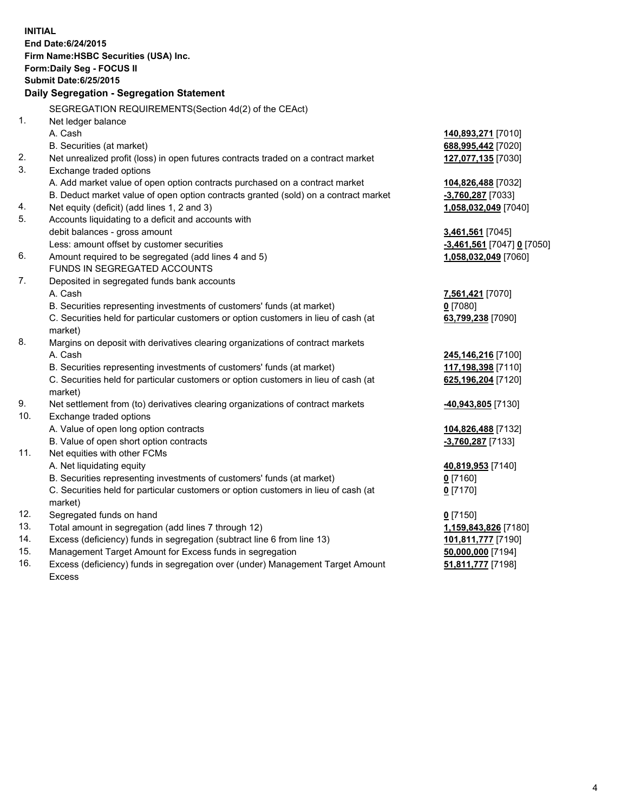|                                       | <b>INITIAL</b><br>End Date: 6/24/2015                                                          |                            |  |  |
|---------------------------------------|------------------------------------------------------------------------------------------------|----------------------------|--|--|
| Firm Name: HSBC Securities (USA) Inc. |                                                                                                |                            |  |  |
|                                       | Form: Daily Seg - FOCUS II                                                                     |                            |  |  |
|                                       | <b>Submit Date:6/25/2015</b>                                                                   |                            |  |  |
|                                       | Daily Segregation - Segregation Statement                                                      |                            |  |  |
|                                       | SEGREGATION REQUIREMENTS(Section 4d(2) of the CEAct)                                           |                            |  |  |
| $\mathbf{1}$ .                        | Net ledger balance                                                                             |                            |  |  |
|                                       | A. Cash                                                                                        | 140,893,271 [7010]         |  |  |
|                                       | B. Securities (at market)                                                                      | 688,995,442 [7020]         |  |  |
| 2.                                    | Net unrealized profit (loss) in open futures contracts traded on a contract market             | 127,077,135 [7030]         |  |  |
| 3.                                    | Exchange traded options                                                                        |                            |  |  |
|                                       | A. Add market value of open option contracts purchased on a contract market                    | 104,826,488 [7032]         |  |  |
|                                       | B. Deduct market value of open option contracts granted (sold) on a contract market            | -3,760,287 [7033]          |  |  |
| 4.                                    | Net equity (deficit) (add lines 1, 2 and 3)                                                    | 1,058,032,049 [7040]       |  |  |
| 5.                                    | Accounts liquidating to a deficit and accounts with                                            |                            |  |  |
|                                       | debit balances - gross amount                                                                  | 3,461,561 [7045]           |  |  |
|                                       | Less: amount offset by customer securities                                                     | -3,461,561 [7047] 0 [7050] |  |  |
| 6.                                    | Amount required to be segregated (add lines 4 and 5)                                           | 1,058,032,049 [7060]       |  |  |
|                                       | FUNDS IN SEGREGATED ACCOUNTS                                                                   |                            |  |  |
| 7.                                    | Deposited in segregated funds bank accounts                                                    |                            |  |  |
|                                       | A. Cash                                                                                        | 7,561,421 [7070]           |  |  |
|                                       | B. Securities representing investments of customers' funds (at market)                         | $0$ [7080]                 |  |  |
|                                       | C. Securities held for particular customers or option customers in lieu of cash (at            | 63,799,238 [7090]          |  |  |
|                                       | market)                                                                                        |                            |  |  |
| 8.                                    | Margins on deposit with derivatives clearing organizations of contract markets                 |                            |  |  |
|                                       | A. Cash                                                                                        | 245,146,216 [7100]         |  |  |
|                                       | B. Securities representing investments of customers' funds (at market)                         | 117,198,398 [7110]         |  |  |
|                                       | C. Securities held for particular customers or option customers in lieu of cash (at<br>market) | 625,196,204 [7120]         |  |  |
| 9.                                    | Net settlement from (to) derivatives clearing organizations of contract markets                | -40,943,805 [7130]         |  |  |
| 10.                                   | Exchange traded options                                                                        |                            |  |  |
|                                       | A. Value of open long option contracts                                                         | 104,826,488 [7132]         |  |  |
|                                       | B. Value of open short option contracts                                                        | $-3,760,287$ [7133]        |  |  |
| 11.                                   | Net equities with other FCMs                                                                   |                            |  |  |
|                                       | A. Net liquidating equity                                                                      | 40,819,953 [7140]          |  |  |
|                                       | B. Securities representing investments of customers' funds (at market)                         | $0$ [7160]                 |  |  |
|                                       | C. Securities held for particular customers or option customers in lieu of cash (at<br>market) | $0$ [7170]                 |  |  |
| 12.                                   | Segregated funds on hand                                                                       | $0$ [7150]                 |  |  |
| 13.                                   | Total amount in segregation (add lines 7 through 12)                                           | 1,159,843,826 [7180]       |  |  |
| 14.                                   | Excess (deficiency) funds in segregation (subtract line 6 from line 13)                        | 101,811,777 [7190]         |  |  |
| 15.                                   | Management Target Amount for Excess funds in segregation                                       | 50,000,000 [7194]          |  |  |
| 16.                                   | Excess (deficiency) funds in segregation over (under) Management Target Amount                 | 51,811,777 [7198]          |  |  |

Excess